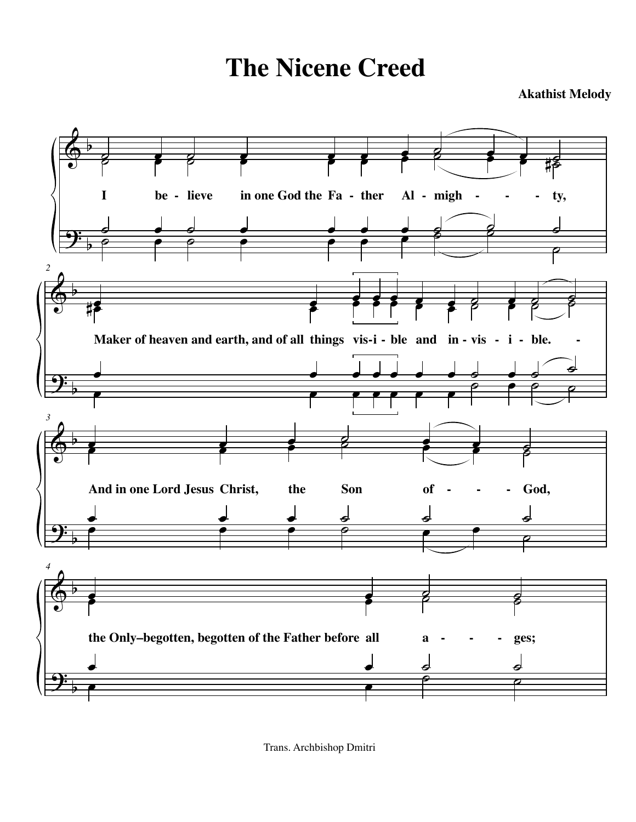**The Nicene Creed**

**Akathist Melody**



Trans. Archbishop Dmitri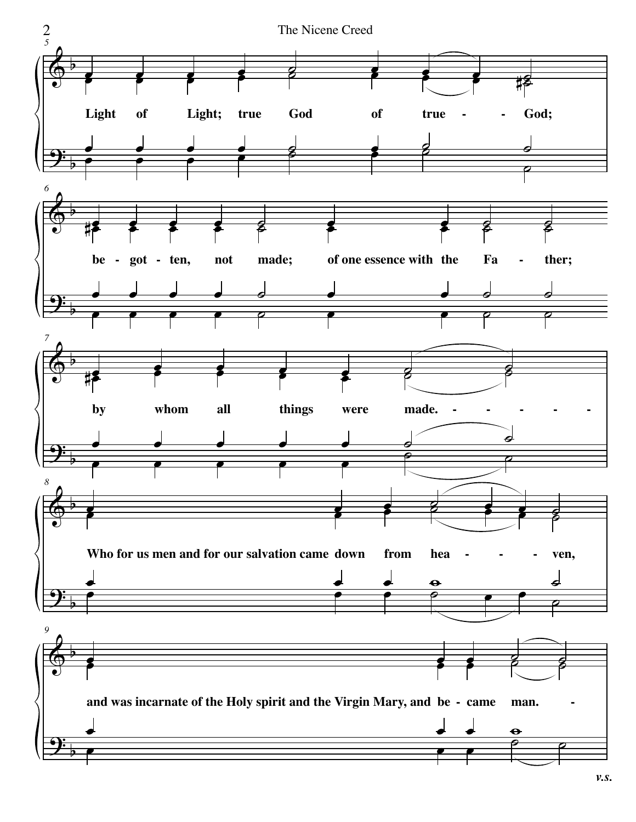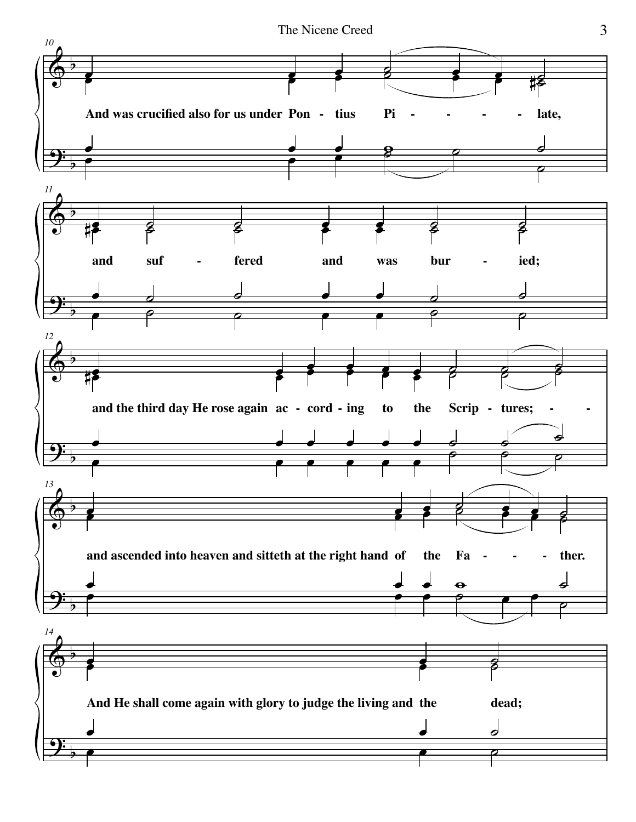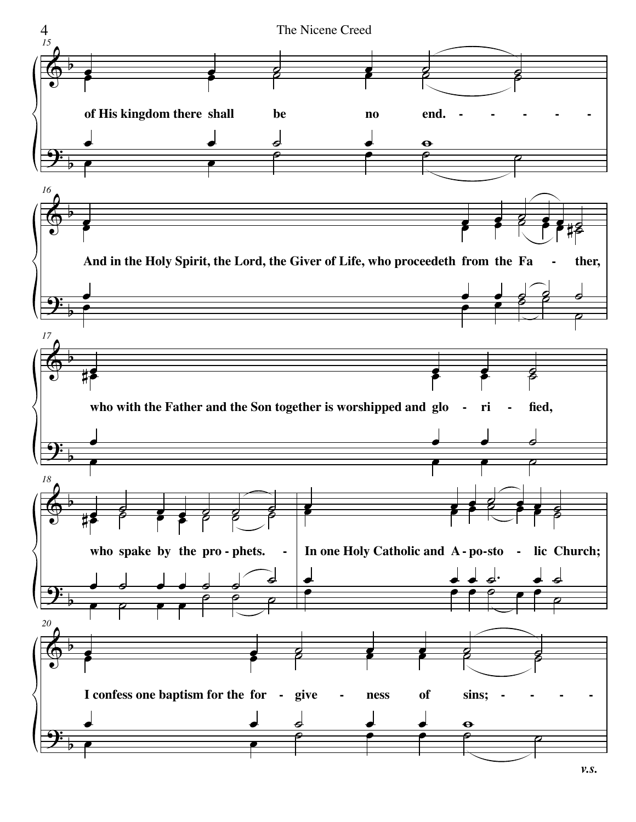